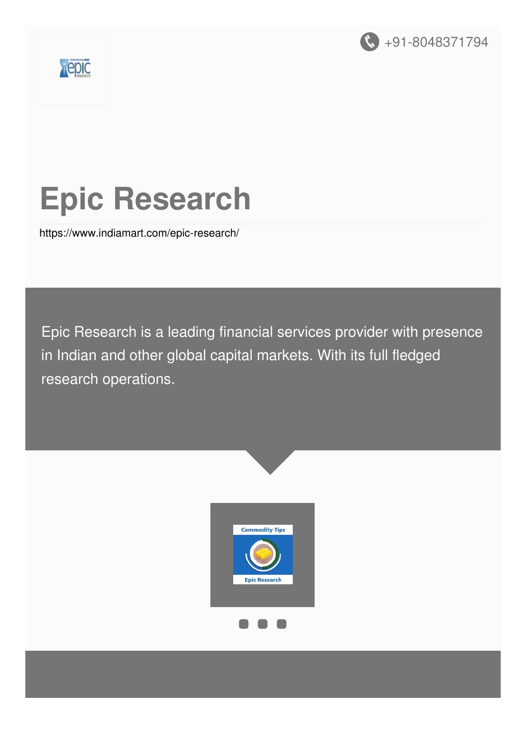



# **Epic Research**

<https://www.indiamart.com/epic-research/>

Epic Research is a leading financial services provider with presence in Indian and other global capital markets. With its full fledged research operations.

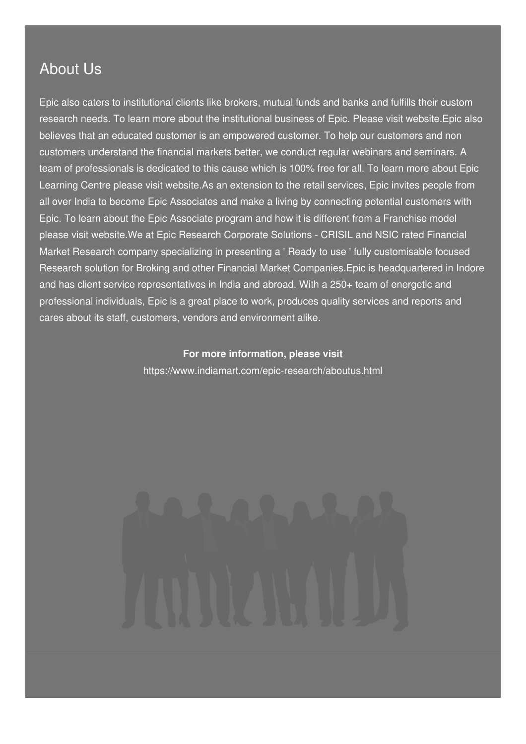#### About Us

Epic also caters to institutional clients like brokers, mutual funds and banks and fulfills their custom research needs. To learn more about the institutional business of Epic. Please visit website.Epic also believes that an educated customer is an empowered customer. To help our customers and non customers understand the financial markets better, we conduct regular webinars and seminars. A team of professionals is dedicated to this cause which is 100% free for all. To learn more about Epic Learning Centre please visit website.As an extension to the retail services, Epic invites people from all over India to become Epic Associates and make a living by connecting potential customers with Epic. To learn about the Epic Associate program and how it is different from a Franchise model please visit website.We at Epic Research Corporate Solutions - CRISIL and NSIC rated Financial Market Research company specializing in presenting a ' Ready to use ' fully customisable focused Research solution for Broking and other Financial Market Companies.Epic is headquartered in Indore and has client service representatives in India and abroad. With a 250+ team of energetic and professional individuals, Epic is a great place to work, produces quality services and reports and cares about its staff, customers, vendors and environment alike.

#### **For more information, please visit**

<https://www.indiamart.com/epic-research/aboutus.html>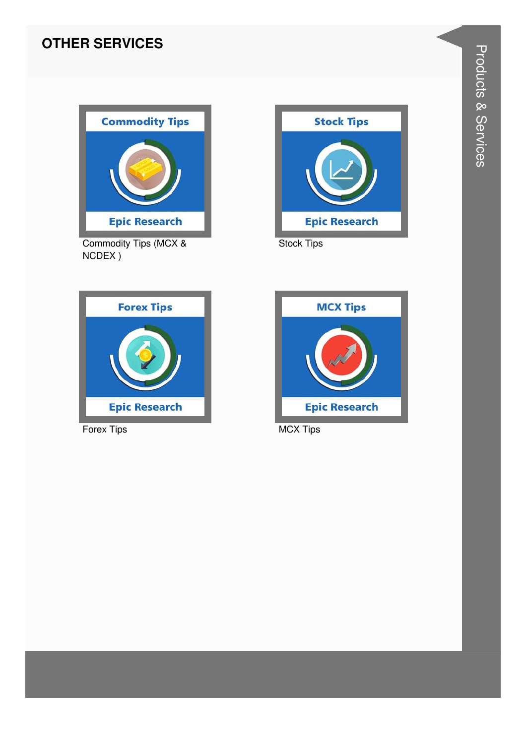#### **OTHER SERVICES**



Commodity Tips (MCX & NCDEX)



**Stock Tips** 



Forex Tips



**MCX Tips**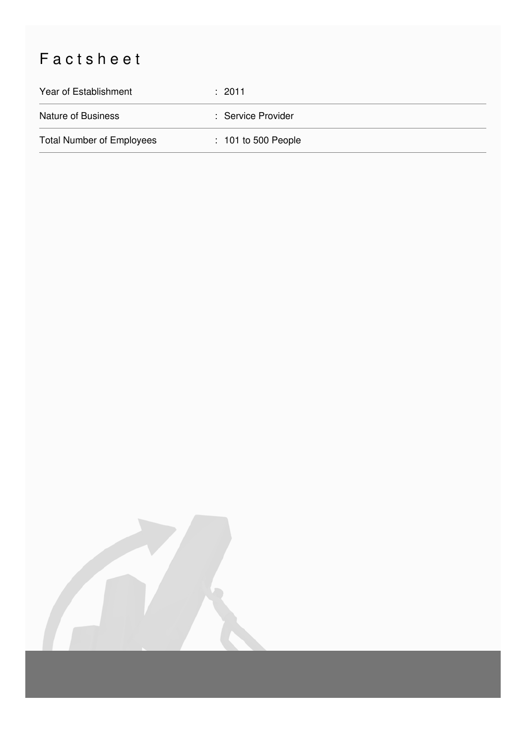## Factsheet

| Year of Establishment            | $\div$ 2011           |
|----------------------------------|-----------------------|
| Nature of Business               | : Service Provider    |
| <b>Total Number of Employees</b> | $: 101$ to 500 People |